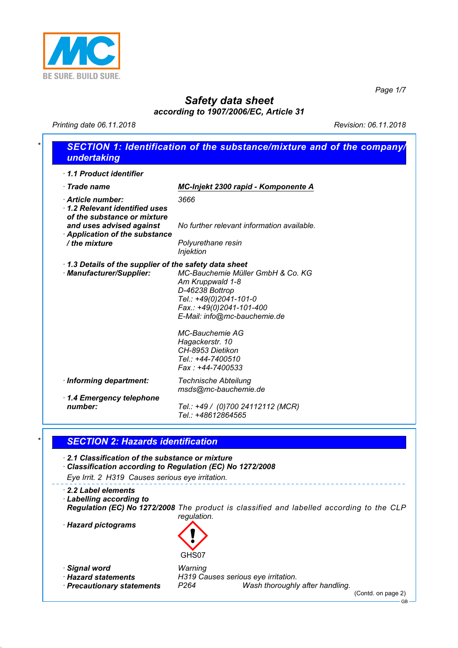

*Page 1/7*

# *Safety data sheet*

*according to 1907/2006/EC, Article 31*

*Printing date 06.11.2018 Revision: 06.11.2018*

| MC-Injekt 2300 rapid - Komponente A                                                                           |
|---------------------------------------------------------------------------------------------------------------|
| 3666                                                                                                          |
| No further relevant information available.<br><b>Application of the substance</b>                             |
| Polyurethane resin                                                                                            |
| <b>Injektion</b>                                                                                              |
| 1.3 Details of the supplier of the safety data sheet<br>MC-Bauchemie Müller GmbH & Co. KG<br>Am Kruppwald 1-8 |
| D-46238 Bottrop                                                                                               |
| Tel.: +49(0)2041-101-0<br>Fax.: +49(0)2041-101-400                                                            |
| E-Mail: info@mc-bauchemie.de                                                                                  |
| <b>MC-Bauchemie AG</b>                                                                                        |
| Hagackerstr. 10                                                                                               |
| CH-8953 Dietikon<br>Tel.: +44-7400510                                                                         |
| Fax: +44-7400533                                                                                              |
| <b>Technische Abteilung</b><br>msds@mc-bauchemie.de                                                           |
|                                                                                                               |
| Tel.: +49 / (0)700 24112112 (MCR)<br>Tel.: +48612864565                                                       |
|                                                                                                               |

*· 2.2 Label elements*

*· Labelling according to Regulation (EC) No 1272/2008 The product is classified and labelled according to the CLP regulation.*

*· Hazard pictograms* 



*· Signal word Warning*

*· Hazard statements H319 Causes serious eye irritation. Wash thoroughly after handling.* 

(Contd. on page 2)

GB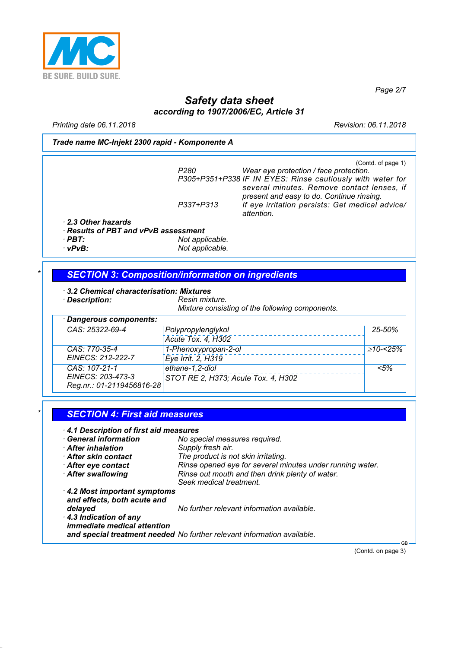

*Page 2/7*

# *Safety data sheet according to 1907/2006/EC, Article 31*

*Printing date 06.11.2018 Revision: 06.11.2018*

#### *Trade name MC-Injekt 2300 rapid - Komponente A*

|                                      | P280            | (Contd. of page 1)<br>Wear eye protection / face protection.                            |
|--------------------------------------|-----------------|-----------------------------------------------------------------------------------------|
|                                      |                 | P305+P351+P338 IF IN EYES: Rinse cautiously with water for                              |
|                                      |                 | several minutes. Remove contact lenses, if<br>present and easy to do. Continue rinsing. |
|                                      | P337+P313       | If eye irritation persists: Get medical advice/<br>attention.                           |
| 2.3 Other hazards                    |                 |                                                                                         |
| · Results of PBT and vPvB assessment |                 |                                                                                         |
| $\cdot$ PBT:                         | Not applicable. |                                                                                         |
| $\cdot$ vPvB:                        | Not applicable. |                                                                                         |

#### *\* SECTION 3: Composition/information on ingredients*

- *· 3.2 Chemical characterisation: Mixtures*
- *· Description: Resin mixture.*

*Mixture consisting of the following components.*

| · Dangerous components:   |                                     |            |
|---------------------------|-------------------------------------|------------|
| CAS: 25322-69-4           | Polypropylenglykol                  | $25 - 50%$ |
|                           | Acute Tox. 4, H302                  |            |
| CAS: 770-35-4             | 1-Phenoxypropan-2-ol                | >10-<25%   |
| EINECS: 212-222-7         | Eye Irrit. 2, H319                  |            |
| CAS: 107-21-1             | ethane-1,2-diol                     | < 5%       |
| EINECS: 203-473-3         | STOT RE 2, H373; Acute Tox. 4, H302 |            |
| Reg.nr.: 01-2119456816-28 |                                     |            |

#### *\* SECTION 4: First aid measures*

*· 4.1 Description of first aid measures*

- *· General information No special measures required.*
- *· After inhalation Supply fresh air.*
- *· After skin contact The product is not skin irritating.*
- *· After eye contact Rinse opened eye for several minutes under running water. · After swallowing Rinse out mouth and then drink plenty of water. Seek medical treatment.*
- *· 4.2 Most important symptoms and effects, both acute and delayed No further relevant information available. · 4.3 Indication of any immediate medical attention and special treatment needed No further relevant information available.*

(Contd. on page 3)

GB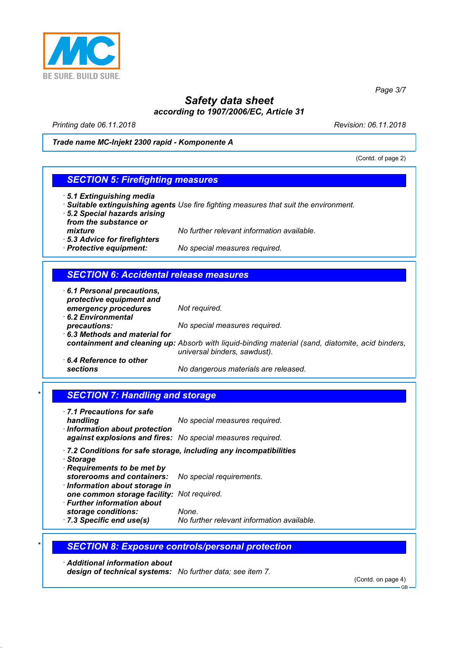

*Page 3/7*

# *Safety data sheet according to 1907/2006/EC, Article 31*

*Printing date 06.11.2018 Revision: 06.11.2018*

*Trade name MC-Injekt 2300 rapid - Komponente A*

(Contd. of page 2)

### *SECTION 5: Firefighting measures*

- *· 5.1 Extinguishing media*
- *· Suitable extinguishing agents Use fire fighting measures that suit the environment.*
- *· 5.2 Special hazards arising*
- *from the substance or*
- *mixture No further relevant information available.*
- *· 5.3 Advice for firefighters*
- *No special measures required.*

### *SECTION 6: Accidental release measures*

| 6.1 Personal precautions,<br>protective equipment and |                                                                                                                                  |
|-------------------------------------------------------|----------------------------------------------------------------------------------------------------------------------------------|
| emergency procedures                                  | Not required.                                                                                                                    |
| 6.2 Environmental                                     |                                                                                                                                  |
| precautions:                                          | No special measures required.                                                                                                    |
| 6.3 Methods and material for                          |                                                                                                                                  |
|                                                       | containment and cleaning up: Absorb with liquid-binding material (sand, diatomite, acid binders,<br>universal binders, sawdust). |
| $\cdot$ 6.4 Reference to other                        |                                                                                                                                  |
| sections                                              | No dangerous materials are released.                                                                                             |

# **SECTION 7: Handling and storage**

| 7.1 Precautions for safe<br>handling<br>· Information about protection<br>against explosions and fires: No special measures required.                                                                        | No special measures required.                                     |
|--------------------------------------------------------------------------------------------------------------------------------------------------------------------------------------------------------------|-------------------------------------------------------------------|
| · Storage<br>Requirements to be met by<br>storerooms and containers: No special requirements.<br>· Information about storage in<br>one common storage facility: Not required.<br>· Further information about | .7.2 Conditions for safe storage, including any incompatibilities |

- *storage conditions: None.*
- 
- *· 7.3 Specific end use(s) No further relevant information available.*

### *\* SECTION 8: Exposure controls/personal protection*

*· Additional information about design of technical systems: No further data; see item 7.*

(Contd. on page 4)

GB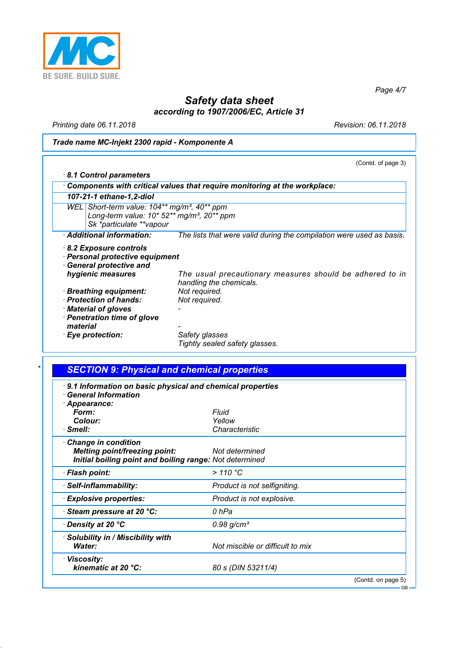

*Page 4/7*

# *Safety data sheet according to 1907/2006/EC, Article 31*

*Printing date 06.11.2018 Revision: 06.11.2018*

# *Trade name MC-Injekt 2300 rapid - Komponente A*

|                                                                                                                                                    | (Contd. of page 3)                                                                  |
|----------------------------------------------------------------------------------------------------------------------------------------------------|-------------------------------------------------------------------------------------|
| 8.1 Control parameters                                                                                                                             |                                                                                     |
|                                                                                                                                                    | Components with critical values that require monitoring at the workplace:           |
| 107-21-1 ethane-1,2-diol                                                                                                                           |                                                                                     |
| WEL Short-term value: $104**$ mg/m <sup>3</sup> , $40**$ ppm<br>Long-term value: 10* 52** mg/m <sup>3</sup> , 20** ppm<br>Sk *particulate **vapour |                                                                                     |
| · Additional information:                                                                                                                          | The lists that were valid during the compilation were used as basis.                |
| <b>General protective and</b><br>hygienic measures                                                                                                 | The usual precautionary measures should be adhered to in<br>handling the chemicals. |
|                                                                                                                                                    | Not required.                                                                       |
| <b>Breathing equipment:</b><br>· Protection of hands:                                                                                              | Not required.                                                                       |
| · Material of gloves                                                                                                                               |                                                                                     |
| · Penetration time of glove                                                                                                                        |                                                                                     |
| material                                                                                                                                           |                                                                                     |
| · Eye protection:                                                                                                                                  | Safety glasses<br>Tightly sealed safety glasses.                                    |

| 9.1 Information on basic physical and chemical properties<br><b>General Information</b> |                                  |  |
|-----------------------------------------------------------------------------------------|----------------------------------|--|
| · Appearance:                                                                           |                                  |  |
| Form:                                                                                   | Fluid                            |  |
| Colour:                                                                                 | Yellow                           |  |
| $\cdot$ Smell:                                                                          | Characteristic                   |  |
| <b>Change in condition</b>                                                              |                                  |  |
| <b>Melting point/freezing point:</b>                                                    | Not determined                   |  |
| Initial boiling point and boiling range: Not determined                                 |                                  |  |
| · Flash point:                                                                          | >110 °C                          |  |
| · Self-inflammability:                                                                  | Product is not selfigniting.     |  |
| <b>Explosive properties:</b>                                                            | Product is not explosive.        |  |
| Steam pressure at 20 °C:                                                                | 0 hPa                            |  |
| ∙ Density at 20 °C                                                                      | 0.98 g/cm <sup>3</sup>           |  |
| · Solubility in / Miscibility with                                                      |                                  |  |
| <b>Water:</b>                                                                           | Not miscible or difficult to mix |  |
| · Viscosity:                                                                            |                                  |  |
| kinematic at 20 $°C$ :                                                                  | 80 s (DIN 53211/4)               |  |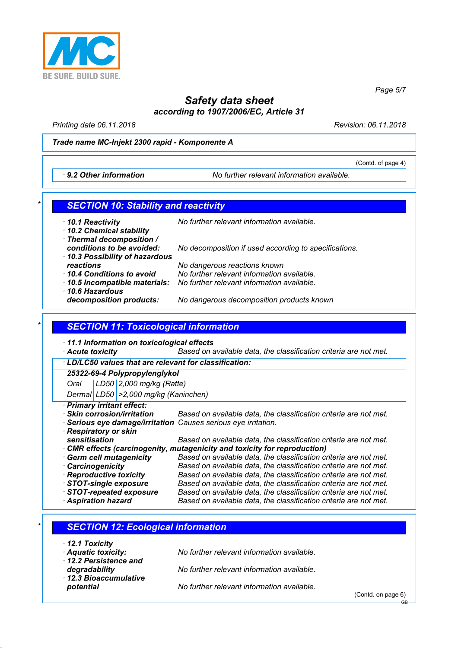

*Safety data sheet according to 1907/2006/EC, Article 31*

*Printing date 06.11.2018 Revision: 06.11.2018*

#### *Trade name MC-Injekt 2300 rapid - Komponente A*

*· 9.2 Other information No further relevant information available.*

#### *\* SECTION 10: Stability and reactivity*

*· 10.1 Reactivity No further relevant information available. · 10.2 Chemical stability · Thermal decomposition / conditions to be avoided: No decomposition if used according to specifications. · 10.3 Possibility of hazardous reactions No dangerous reactions known · 10.4 Conditions to avoid No further relevant information available. · 10.5 Incompatible materials: No further relevant information available. · 10.6 Hazardous decomposition products: No dangerous decomposition products known*

### *\* SECTION 11: Toxicological information*

*· 11.1 Information on toxicological effects*

*· Acute toxicity Based on available data, the classification criteria are not met.*

*· LD/LC50 values that are relevant for classification: 25322-69-4 Polypropylenglykol Oral LD50 2,000 mg/kg (Ratte) Dermal LD50 >2,000 mg/kg (Kaninchen) · Primary irritant effect: · Skin corrosion/irritation Based on available data, the classification criteria are not met. · Serious eye damage/irritation Causes serious eye irritation. · Respiratory or skin sensitisation Based on available data, the classification criteria are not met. · CMR effects (carcinogenity, mutagenicity and toxicity for reproduction) · Germ cell mutagenicity Based on available data, the classification criteria are not met.*

*· Carcinogenicity Based on available data, the classification criteria are not met. Based on available data, the classification criteria are not met. · STOT-single exposure Based on available data, the classification criteria are not met. · STOT-repeated exposure Based on available data, the classification criteria are not met. · Aspiration hazard Based on available data, the classification criteria are not met.*

# *\* SECTION 12: Ecological information · 12.1 Toxicity · Aquatic toxicity: No further relevant information available. · 12.2 Persistence and degradability No further relevant information available. · 12.3 Bioaccumulative potential No further relevant information available.* (Contd. on page 6)

(Contd. of page 4)

GB

*Page 5/7*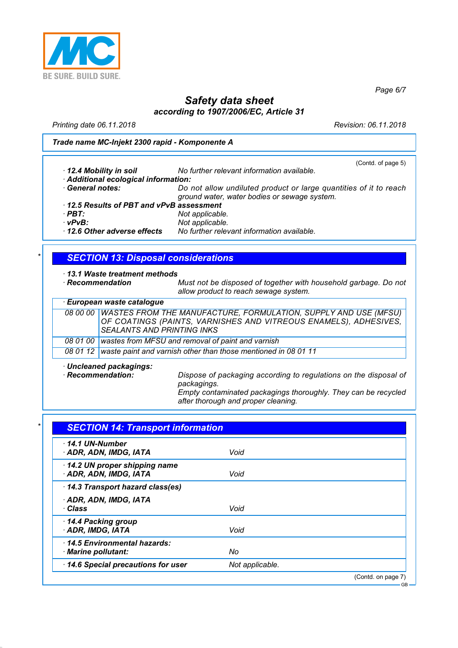

*Page 6/7*

# *Safety data sheet according to 1907/2006/EC, Article 31*

*Printing date 06.11.2018 Revision: 06.11.2018*

#### *Trade name MC-Injekt 2300 rapid - Komponente A*

|                                         | (Contd. of page 5)                                                                                                |
|-----------------------------------------|-------------------------------------------------------------------------------------------------------------------|
| 12.4 Mobility in soil                   | No further relevant information available.                                                                        |
| · Additional ecological information:    |                                                                                                                   |
| <b>General notes:</b>                   | Do not allow undiluted product or large quantities of it to reach<br>ground water, water bodies or sewage system. |
| 12.5 Results of PBT and vPvB assessment |                                                                                                                   |
| $\cdot$ PBT:                            | Not applicable.                                                                                                   |
| $\cdot$ vPvB:                           | Not applicable.                                                                                                   |
| 12.6 Other adverse effects              | No further relevant information available.                                                                        |

# *\* SECTION 13: Disposal considerations*

*· 13.1 Waste treatment methods*

*· Recommendation Must not be disposed of together with household garbage. Do not allow product to reach sewage system.*

| · European waste catalogue                                                                                                    |                                                                                                                                                                          |  |
|-------------------------------------------------------------------------------------------------------------------------------|--------------------------------------------------------------------------------------------------------------------------------------------------------------------------|--|
| 08 00 00                                                                                                                      | WASTES FROM THE MANUFACTURE, FORMULATION, SUPPLY AND USE (MFSU)<br>OF COATINGS (PAINTS, VARNISHES AND VITREOUS ENAMELS), ADHESIVES,<br><b>SEALANTS AND PRINTING INKS</b> |  |
| 08 01 00                                                                                                                      | wastes from MFSU and removal of paint and varnish                                                                                                                        |  |
| 08 01 12                                                                                                                      | waste paint and varnish other than those mentioned in 08 01 11                                                                                                           |  |
| Uncleaned packagings:<br>· Recommendation:<br>Dispose of packaging according to regulations on the disposal of<br>packagings. |                                                                                                                                                                          |  |

*Empty contaminated packagings thoroughly. They can be recycled after thorough and proper cleaning.*

| 14.1 UN-Number <sup>.</sup>       |                 |  |
|-----------------------------------|-----------------|--|
| · ADR, ADN, IMDG, IATA            | Void            |  |
| 14.2 UN proper shipping name      |                 |  |
| · ADR, ADN, IMDG, IATA            | Void            |  |
| 14.3 Transport hazard class(es)   |                 |  |
| · ADR, ADN, IMDG, IATA            |                 |  |
| · Class                           | Void            |  |
| 14.4 Packing group                |                 |  |
| ADR, IMDG, IATA                   | Void            |  |
| 14.5 Environmental hazards:       |                 |  |
| · Marine pollutant:               | No              |  |
| 14.6 Special precautions for user | Not applicable. |  |

 $\overline{C}$